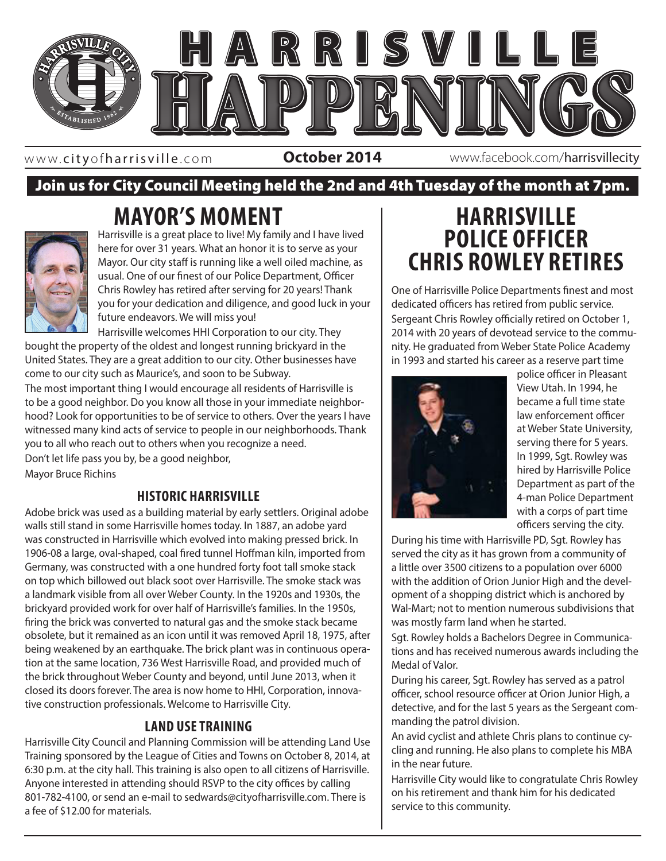

www. cityofharrisville .com

**October 2014** www.facebook.com/harrisvillecity

# Join us for City Council Meeting held the 2nd and 4th Tuesday of the month at 7pm.

# **MAYOR'S MOMENT**



Harrisville is a great place to live! My family and I have lived here for over 31 years. What an honor it is to serve as your Mayor. Our city staff is running like a well oiled machine, as usual. One of our finest of our Police Department, Officer Chris Rowley has retired after serving for 20 years! Thank you for your dedication and diligence, and good luck in your future endeavors. We will miss you!

Harrisville welcomes HHI Corporation to our city. They bought the property of the oldest and longest running brickyard in the United States. They are a great addition to our city. Other businesses have come to our city such as Maurice's, and soon to be Subway. The most important thing I would encourage all residents of Harrisville is

you to all who reach out to others when you recognize a need. to be a good neighbor. Do you know all those in your immediate neighborhood? Look for opportunities to be of service to others. Over the years I have witnessed many kind acts of service to people in our neighborhoods. Thank Don't let life pass you by, be a good neighbor,

Mayor Bruce Richins

# **HISTORIC HARRISVILLE**

Adobe brick was used as a building material by early settlers. Original adobe walls still stand in some Harrisville homes today. In 1887, an adobe yard was constructed in Harrisville which evolved into making pressed brick. In 1906-08 a large, oval-shaped, coal fired tunnel Hoffman kiln, imported from Germany, was constructed with a one hundred forty foot tall smoke stack on top which billowed out black soot over Harrisville. The smoke stack was a landmark visible from all over Weber County. In the 1920s and 1930s, the brickyard provided work for over half of Harrisville's families. In the 1950s, firing the brick was converted to natural gas and the smoke stack became obsolete, but it remained as an icon until it was removed April 18, 1975, after being weakened by an earthquake. The brick plant was in continuous operation at the same location, 736 West Harrisville Road, and provided much of the brick throughout Weber County and beyond, until June 2013, when it closed its doors forever. The area is now home to HHI, Corporation, innovative construction professionals. Welcome to Harrisville City.

# **LAND USE TRAINING**

Harrisville City Council and Planning Commission will be attending Land Use Training sponsored by the League of Cities and Towns on October 8, 2014, at 6:30 p.m. at the city hall. This training is also open to all citizens of Harrisville. Anyone interested in attending should RSVP to the city offices by calling 801-782-4100, or send an e-mail to sedwards@cityofharrisville.com. There is a fee of \$12.00 for materials.

# **HARRISVILLE POLICE OFFICER CHRIS ROWLEY RETIRES**

One of Harrisville Police Departments finest and most dedicated officers has retired from public service. Sergeant Chris Rowley officially retired on October 1, 2014 with 20 years of devotead service to the community. He graduated from Weber State Police Academy in 1993 and started his career as a reserve part time



police officer in Pleasant View Utah. In 1994, he became a full time state law enforcement officer at Weber State University, serving there for 5 years. In 1999, Sgt. Rowley was hired by Harrisville Police Department as part of the 4-man Police Department with a corps of part time officers serving the city.

During his time with Harrisville PD, Sgt. Rowley has served the city as it has grown from a community of a little over 3500 citizens to a population over 6000 with the addition of Orion Junior High and the development of a shopping district which is anchored by Wal-Mart; not to mention numerous subdivisions that was mostly farm land when he started.

Sgt. Rowley holds a Bachelors Degree in Communications and has received numerous awards including the Medal of Valor.

During his career, Sgt. Rowley has served as a patrol officer, school resource officer at Orion Junior High, a detective, and for the last 5 years as the Sergeant commanding the patrol division.

An avid cyclist and athlete Chris plans to continue cycling and running. He also plans to complete his MBA in the near future.

Harrisville City would like to congratulate Chris Rowley on his retirement and thank him for his dedicated service to this community.